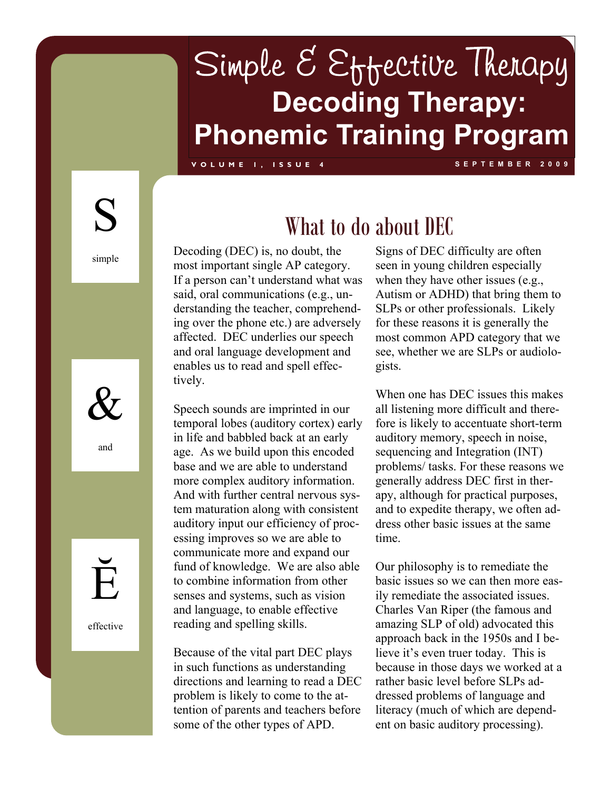## Simple E Effective Therapy **Decoding Therapy: Phonemic Training Program**

**VOLUME 1, ISSUE 4 SEPTEMBER 2009** 

S

simple



and



effective

### What to do about DEC

Decoding (DEC) is, no doubt, the most important single AP category. If a person can't understand what was said, oral communications (e.g., understanding the teacher, comprehending over the phone etc.) are adversely affected.DEC underlies our speech and oral language development and enables us to read and spell effectively.

Speech sounds are imprinted in our temporal lobes (auditory cortex) early in life and babbled back at an early age. As we build upon this encoded base and we are able to understand more complex auditory information. And with further central nervous system maturation along with consistent auditory input our efficiency of processing improves so we are able to communicate more and expand our fund of knowledge. We are also able to combine information from other senses and systems, such as vision and language, to enable effective reading and spelling skills.

Because of the vital part DEC plays in such functions as understanding directions and learning to read a DEC problem is likely to come to the attention of parents and teachers before some of the other types of APD.

Signs of DEC difficulty are often seen in young children especially when they have other issues (e.g., Autism or ADHD) that bring them to SLPs or other professionals. Likely for these reasons it is generally the most common APD category that we see, whether we are SLPs or audiologists.

When one has DEC issues this makes all listening more difficult and therefore is likely to accentuate short-term auditory memory, speech in noise, sequencing and Integration (INT) problems/ tasks. For these reasons we generally address DEC first in therapy, although for practical purposes, and to expedite therapy, we often address other basic issues at the same time.

Our philosophy is to remediate the basic issues so we can then more easily remediate the associated issues. Charles Van Riper (the famous and amazing SLP of old) advocated this approach back in the 1950s and I believe it's even truer today. This is because in those days we worked at a rather basic level before SLPs addressed problems of language and literacy (much of which are dependent on basic auditory processing).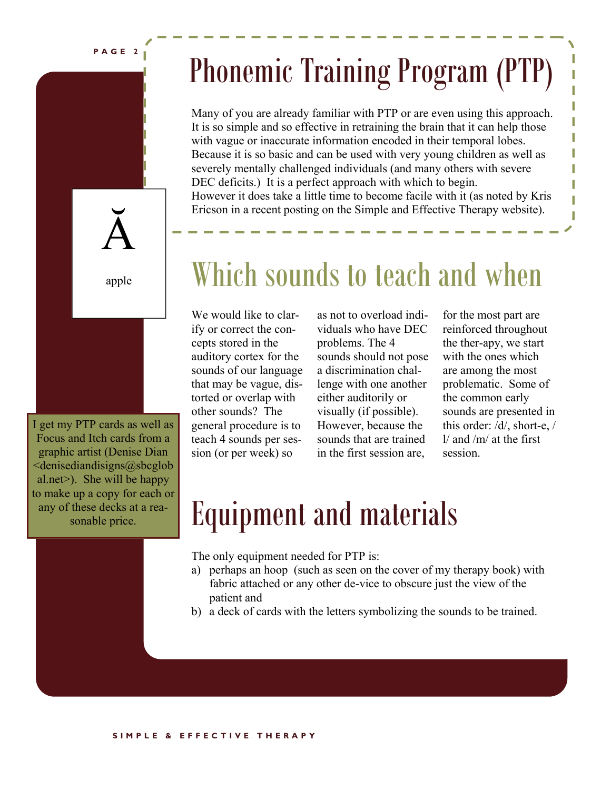**PAGE 2** 

## Phonemic Training Program (PTP)

Many of you are already familiar with PTP or are even using this approach. It is so simple and so effective in retraining the brain that it can help those with vague or inaccurate information encoded in their temporal lobes. Because it is so basic and can be used with very young children as well as severely mentally challenged individuals (and many others with severe DEC deficits.) It is a perfect approach with which to begin. However it does take a little time to become facile with it (as noted by Kris Ericson in a recent posting on the Simple and Effective Therapy website).



apple

I get my PTP cards as well as Focus and Itch cards from a graphic artist (Denise Dian  $\le$ denisediandisigns@sbcglob al.net>). She will be happy to make up a copy for each or any of these decks at a reasonable price.

### Which sounds to teach and when

We would like to clarify or correct the concepts stored in the auditory cortex for the sounds of our language that may be vague, distorted or overlap with other sounds? The general procedure is to teach 4 sounds per session (or per week) so

as not to overload individuals who have DEC problems. The 4 sounds should not pose a discrimination challenge with one another either auditorily or visually (if possible). However, because the sounds that are trained in the first session are,

for the most part are reinforced throughout the ther-apy, we start with the ones which are among the most problematic. Some of the common early sounds are presented in this order: /d/, short-e, / l/ and /m/ at the first session.

## Equipment and materials

The only equipment needed for PTP is:

- a) perhaps an hoop (such as seen on the cover of my therapy book) with fabric attached or any other de-vice to obscure just the view of the patient and
- b) a deck of cards with the letters symbolizing the sounds to be trained.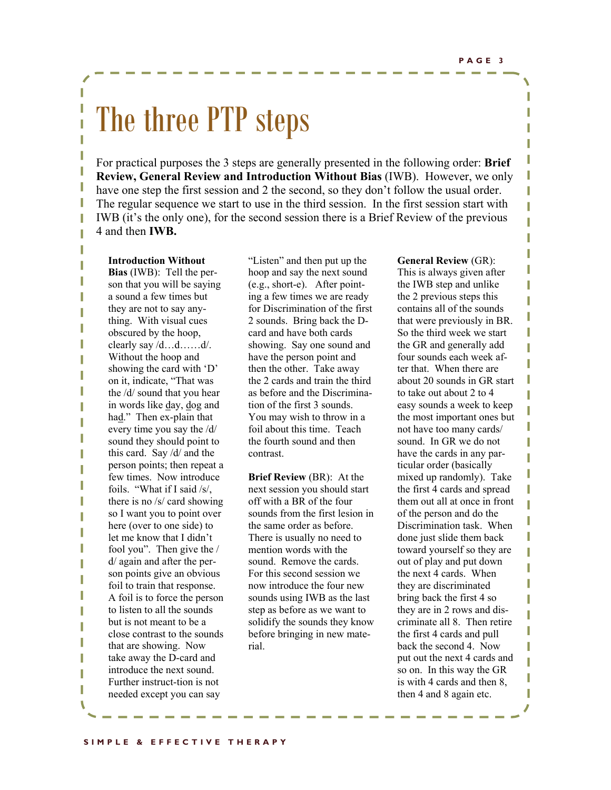I I

I I

T

I

ı

T

I

T

I I

I

# The three PTP steps

For practical purposes the 3 steps are generally presented in the following order: **Brief Review, General Review and Introduction Without Bias** (IWB). However, we only have one step the first session and 2 the second, so they don't follow the usual order. The regular sequence we start to use in the third session. In the first session start with IWB (it's the only one), for the second session there is a Brief Review of the previous 4 and then **IWB.** 

#### **Introduction Without**

I

I

I

I

I

I

I

I

I

I

I I I **Bias** (IWB): Tell the person that you will be saying a sound a few times but they are not to say anything. With visual cues obscured by the hoop, clearly say /d…d……d/. Without the hoop and showing the card with 'D' on it, indicate, "That was the /d/ sound that you hear in words like day, dog and had." Then ex-plain that every time you say the /d/ sound they should point to this card. Say /d/ and the person points; then repeat a few times. Now introduce foils. "What if I said /s/, there is no /s/ card showing so I want you to point over here (over to one side) to let me know that I didn't fool you". Then give the / d/ again and after the person points give an obvious foil to train that response. A foil is to force the person to listen to all the sounds but is not meant to be a close contrast to the sounds that are showing. Now take away the D-card and introduce the next sound. Further instruct-tion is not needed except you can say

"Listen" and then put up the hoop and say the next sound (e.g., short-e). After pointing a few times we are ready for Discrimination of the first 2 sounds. Bring back the Dcard and have both cards showing. Say one sound and have the person point and then the other. Take away the 2 cards and train the third as before and the Discrimination of the first 3 sounds. You may wish to throw in a foil about this time. Teach the fourth sound and then contrast.

**Brief Review** (BR): At the next session you should start off with a BR of the four sounds from the first lesion in the same order as before. There is usually no need to mention words with the sound. Remove the cards. For this second session we now introduce the four new sounds using IWB as the last step as before as we want to solidify the sounds they know before bringing in new material.

#### **General Review** (GR):

This is always given after the IWB step and unlike the 2 previous steps this contains all of the sounds that were previously in BR. So the third week we start the GR and generally add four sounds each week after that. When there are about 20 sounds in GR start to take out about 2 to 4 easy sounds a week to keep the most important ones but not have too many cards/ sound. In GR we do not have the cards in any particular order (basically mixed up randomly). Take the first 4 cards and spread them out all at once in front of the person and do the Discrimination task. When done just slide them back toward yourself so they are out of play and put down the next 4 cards. When they are discriminated bring back the first 4 so they are in 2 rows and discriminate all 8. Then retire the first 4 cards and pull back the second 4. Now put out the next 4 cards and so on. In this way the GR is with 4 cards and then 8, then 4 and 8 again etc.